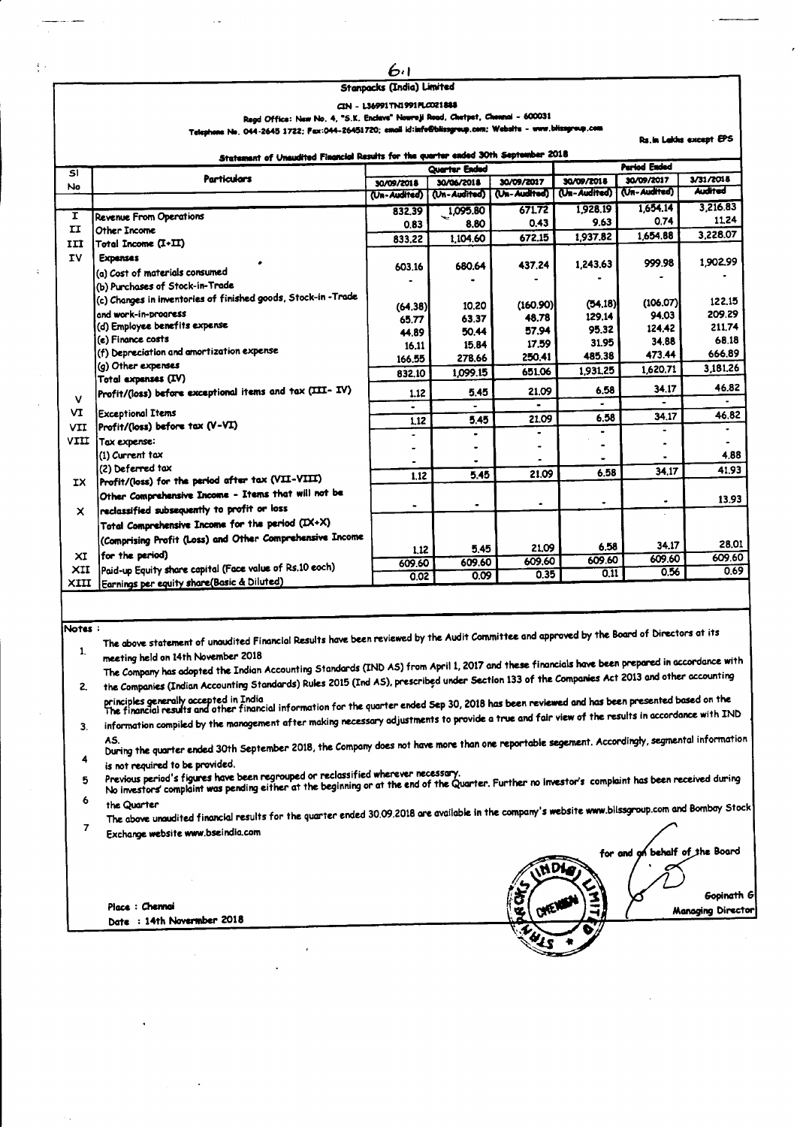## 64 **Stanpacks (India) Limited**

## CIN - L36991TN1991PLC021888

Regd Office: New No. 4, "S.K. Enclave" Nowroji Road, Chetpet, Ch  $d = 600031$ e Ne. 044-2645 1722; Fax:044-26451720; email id:info@blissgroup.com; Website - w

Statement of Unaudited Financial Results for the quarter ended 30th September 2018 **Period Ended** Quarter Ended डा **Particulars** 30/09/2018 30/09/2017 3/31/2018 30/06/2018 30/09/2017 30/09/2018  $N<sub>0</sub>$ (Un-Audited) Archaeol I (Un-Audited) (Ja-Audited) (Un-Audited) (Un-Audited)  $3.216.83$ 1.654.14 1,095.80 832.39 671.72 1928.19  $\overline{\mathbf{r}}$ **Revenue From Operations** 11.24 0.74  $0.43$ 9.63 8,80 0.83  $\mathbf{H}$ Other Income 3.228.07 1,654.88 1,937.82 1,104.60  $672.15$ 833.22 Total Income (I+II) III **TV Expenses** 999.98 1902.99 1.243.63 437.24 603.16 680.64 (a) Cost of materials consumed (b) Purchases of Stock-in-Trade (c) Changes in inventories of finished goods, Stock-in-Trade  $(106.07)$ 122.15  $(160.90)$  $(54.18)$  $(64, 38)$ 10.20 and work-in-progress 209.29 129.14 94.03 48.78 65.77 63.37 (d) Employee benefits expense 124.42 211.74 95.32 50.44 57.94 44.89 .<br>(e) Finance costs 68.18 17.59 31.95 34.88 16.11 15.84 (f) Depreciation and amortization expense 666.89 473.44 278.66 250.41 485.38 166.55 (q) Other expenses 3,181.26 1,620.71 1,099.15 651.06 1.931.25 832,10 Total expenses (IV) 46.82 Profit/(loss) before exceptional items and tax (III- IV) 34.17 5.45 21,09 6.58  $1.12$  $\mathbf v$ VI **Exceptional Items**  $46.82$  $6.58$  $34.17$ 21.09  $5.45$  $\overline{1.12}$ Profit/(loss) before tax (V-VI) **VTT** J. VIII Tox expense:  $\overline{a}$  $\overline{a}$  $\overline{a}$ (1) Current tax 4.88 (2) Deferred tax  $41.93$  $34.17$  $6.58$  $545$ 21.09  $\overline{1.12}$ Profit/(loss) for the period after tax (VII-VIII) **IX** Other Comprehensive Income - Items that will not be 13.93 reclassified subsequently to profit or loss  $\boldsymbol{\mathsf{x}}$ Total Comprehensive Income for the period (IX+X) (Comprising Profit (Loss) and Other Comprehensive Income 28.01 6.58 34.17 5.45 21.09  $1.12$ for the period)  $\times I$ 609.60 609.60 609.60 609.60 609.60 609.60 Paid-up Equity share capital (Face value of Rs.10 eoch) XII  $\overline{0.11}$ 0.56 069  $0.35$  $0.02$  $0.09$ Earnings per equity share(Basic & Diluted) **XTTT** 

## Notes:

The above statement of unaudited Financial Results have been reviewed by the Audit Committee and approved by the Board of Directors at its  $\mathbf{1}$ meeting held on 14th November 2018

The Company has adopted the Indian Accounting Standards (IND AS) from April 1, 2017 and these financials have been prepared in accordance with the Companies (Indian Accounting Standards) Rules 2015 (Ind AS), prescribed under Section 133 of the Companies Act 2013 and other accounting  $2.$ 

principles generally accepted in India<br>The financial results and other financial information for the quarter ended Sep 30, 2018 has been reviewed and has been presented based on the information compiled by the management after making necessary adjustments to provide a true and fair view of the results in accordance with IND  $3.$ 

Ouring the quarter ended 30th September 2018, the Company does not have more than one reportable segement. Accordingly, segmental information 4

is not required to be provided.

Previous period's figures have been regrouped or reclassified wherever necessary

5 6

the Quarter

The above unaudited financial results for the quarter ended 30.09.2018 are available in the company's website www.blissgroup.com and Bombay Stock  $\overline{7}$ Exchange website www.bseindia.com

Place: Chennai Date : 14th Novermber 2018

behalf of the Board for and **NDI** Gopinath G Managing Director

**Rs.in Lakks except EPS**